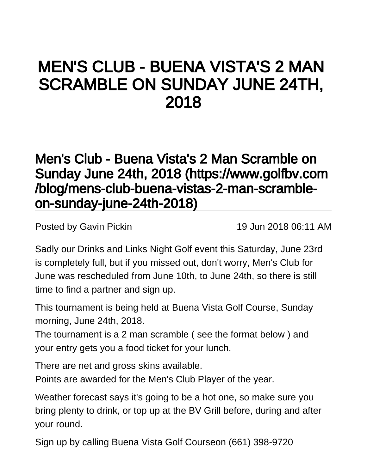## MEN'S CLUB - BUENA VISTA'S 2 MAN SCRAMBLE ON SUNDAY JUNE 24TH, 2018

## [Men's Club - Buena Vista's 2 Man Scramble on](https://www.golfbv.com/blog/mens-club-buena-vistas-2-man-scramble-on-sunday-june-24th-2018)  [Sunday June 24th, 2018 \(https://www.golfbv.com](https://www.golfbv.com/blog/mens-club-buena-vistas-2-man-scramble-on-sunday-june-24th-2018) [/blog/mens-club-buena-vistas-2-man-scramble](https://www.golfbv.com/blog/mens-club-buena-vistas-2-man-scramble-on-sunday-june-24th-2018)[on-sunday-june-24th-2018\)](https://www.golfbv.com/blog/mens-club-buena-vistas-2-man-scramble-on-sunday-june-24th-2018)

Posted by [Gavin Pickin](#) 19 Jun 2018 06:11 AM

Sadly our Drinks and Links Night Golf event this Saturday, June 23rd is completely full, but if you missed out, don't worry, Men's Club for June was rescheduled from June 10th, to June 24th, so there is still time to find a partner and sign up.

This tournament is being held at Buena Vista Golf Course, Sunday morning, June 24th, 2018.

The tournament is a 2 man scramble ( see the format below ) and your entry gets you a food ticket for your lunch.

There are net and gross skins available.

Points are awarded for the Men's Club Player of the year.

Weather forecast says it's going to be a hot one, so make sure you bring plenty to drink, or top up at the BV Grill before, during and after your round.

Sign up by calling Buena Vista Golf Courseon (661) 398-9720